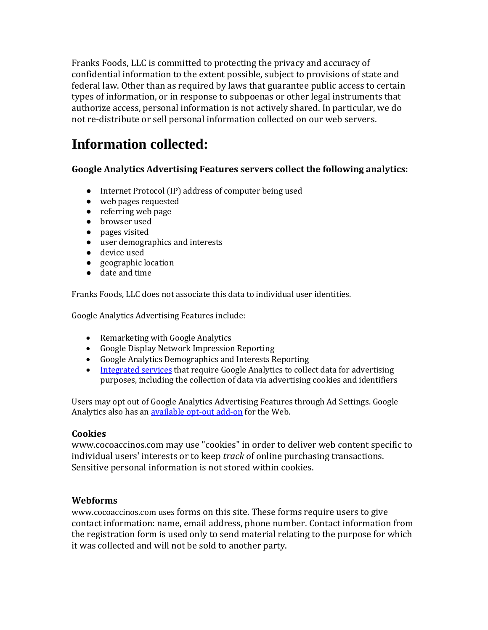Franks Foods, LLC is committed to protecting the privacy and accuracy of confidential information to the extent possible, subject to provisions of state and federal law. Other than as required by laws that guarantee public access to certain types of information, or in response to subpoenas or other legal instruments that authorize access, personal information is not actively shared. In particular, we do not re-distribute or sell personal information collected on our web servers.

## **Information collected:**

#### **Google Analytics Advertising Features servers collect the following analytics:**

- Internet Protocol (IP) address of computer being used
- web pages requested
- referring web page
- browser used
- pages visited
- user demographics and interests
- device used
- geographic location
- date and time

Franks Foods, LLC does not associate this data to individual user identities.

Google Analytics Advertising Features include:

- Remarketing with Google Analytics
- Google Display Network Impression Reporting
- Google Analytics Demographics and Interests Reporting
- [Integrated services](https://support.google.com/analytics/answer/7011855?authuser=4) that require Google Analytics to collect data for advertising purposes, including the collection of data via advertising cookies and identifiers

Users may opt out of Google Analytics Advertising Features through Ad Settings. Google Analytics also has a[n available opt-out add-on](https://tools.google.com/dlpage/gaoptout/) for the Web.

#### **Cookies**

www.cocoaccinos.com may use "cookies" in order to deliver web content specific to individual users' interests or to keep *track* of online purchasing transactions. Sensitive personal information is not stored within cookies.

#### **Webforms**

www.cocoaccinos.com uses forms on this site. These forms require users to give contact information: name, email address, phone number. Contact information from the registration form is used only to send material relating to the purpose for which it was collected and will not be sold to another party.